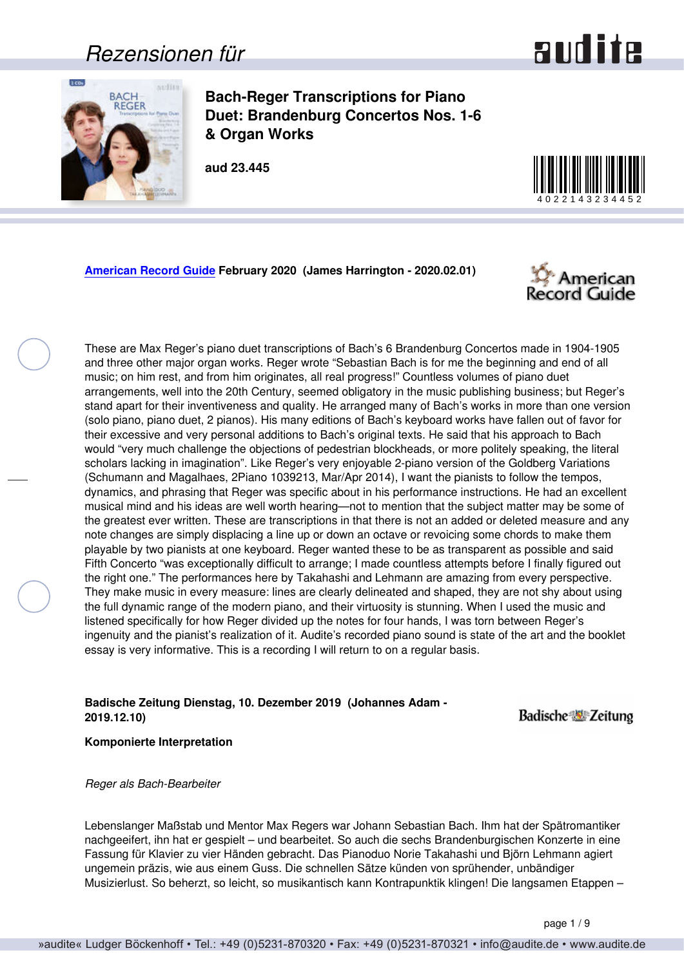### *Rezensionen für*



<span id="page-0-0"></span>

**Bach-Reger Transcriptions for Piano Duet: Brandenburg Concertos Nos. 1-6 & Organ Works** 

**aud 23.445**



**[American Record Guide](http://www.americanrecordguide.com) February 2020 (James Harrington - 2020.02.01)**



These are Max Reger's piano duet transcriptions of Bach's 6 Brandenburg Concertos made in 1904-1905 and three other major organ works. Reger wrote "Sebastian Bach is for me the beginning and end of all music; on him rest, and from him originates, all real progress!" Countless volumes of piano duet arrangements, well into the 20th Century, seemed obligatory in the music publishing business; but Reger's stand apart for their inventiveness and quality. He arranged many of Bach's works in more than one version (solo piano, piano duet, 2 pianos). His many editions of Bach's keyboard works have fallen out of favor for their excessive and very personal additions to Bach's original texts. He said that his approach to Bach would "very much challenge the objections of pedestrian blockheads, or more politely speaking, the literal scholars lacking in imagination". Like Reger's very enjoyable 2-piano version of the Goldberg Variations (Schumann and Magalhaes, 2Piano 1039213, Mar/Apr 2014), I want the pianists to follow the tempos, dynamics, and phrasing that Reger was specific about in his performance instructions. He had an excellent musical mind and his ideas are well worth hearing—not to mention that the subject matter may be some of the greatest ever written. These are transcriptions in that there is not an added or deleted measure and any note changes are simply displacing a line up or down an octave or revoicing some chords to make them playable by two pianists at one keyboard. Reger wanted these to be as transparent as possible and said Fifth Concerto "was exceptionally difficult to arrange; I made countless attempts before I finally figured out the right one." The performances here by Takahashi and Lehmann are amazing from every perspective. They make music in every measure: lines are clearly delineated and shaped, they are not shy about using the full dynamic range of the modern piano, and their virtuosity is stunning. When I used the music and listened specifically for how Reger divided up the notes for four hands, I was torn between Reger's ingenuity and the pianist's realization of it. Audite's recorded piano sound is state of the art and the booklet essay is very informative. This is a recording I will return to on a regular basis.

#### **Badische Zeitung Dienstag, 10. Dezember 2019 (Johannes Adam - 2019.12.10)**

**Badische Zeitung** 

**Komponierte Interpretation**

*Reger als Bach-Bearbeiter*

Lebenslanger Maßstab und Mentor Max Regers war Johann Sebastian Bach. Ihm hat der Spätromantiker nachgeeifert, ihn hat er gespielt – und bearbeitet. So auch die sechs Brandenburgischen Konzerte in eine Fassung für Klavier zu vier Händen gebracht. Das Pianoduo Norie Takahashi und Björn Lehmann agiert ungemein präzis, wie aus einem Guss. Die schnellen Sätze künden von sprühender, unbändiger Musizierlust. So beherzt, so leicht, so musikantisch kann Kontrapunktik klingen! Die langsamen Etappen –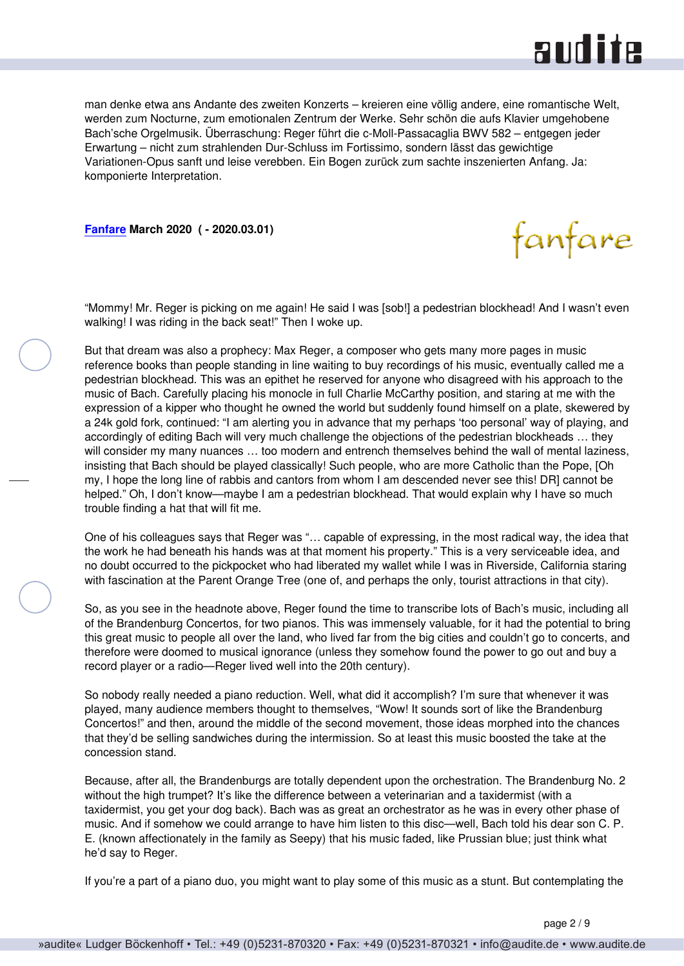

<span id="page-1-0"></span>man denke etwa ans Andante des zweiten Konzerts – kreieren eine völlig andere, eine romantische Welt, werden zum Nocturne, zum emotionalen Zentrum der Werke. Sehr schön die aufs Klavier umgehobene Bach'sche Orgelmusik. Überraschung: Reger führt die c-Moll-Passacaglia BWV 582 – entgegen jeder Erwartung – nicht zum strahlenden Dur-Schluss im Fortissimo, sondern lässt das gewichtige Variationen-Opus sanft und leise verebben. Ein Bogen zurück zum sachte inszenierten Anfang. Ja: komponierte Interpretation.

**[Fanfare](http://www.fanfaremag.com/) March 2020 ( - 2020.03.01)**

fanfare

"Mommy! Mr. Reger is picking on me again! He said I was [sob!] a pedestrian blockhead! And I wasn't even walking! I was riding in the back seat!" Then I woke up.

But that dream was also a prophecy: Max Reger, a composer who gets many more pages in music reference books than people standing in line waiting to buy recordings of his music, eventually called me a pedestrian blockhead. This was an epithet he reserved for anyone who disagreed with his approach to the music of Bach. Carefully placing his monocle in full Charlie McCarthy position, and staring at me with the expression of a kipper who thought he owned the world but suddenly found himself on a plate, skewered by a 24k gold fork, continued: "I am alerting you in advance that my perhaps 'too personal' way of playing, and accordingly of editing Bach will very much challenge the objections of the pedestrian blockheads … they will consider my many nuances … too modern and entrench themselves behind the wall of mental laziness, insisting that Bach should be played classically! Such people, who are more Catholic than the Pope, [Oh my, I hope the long line of rabbis and cantors from whom I am descended never see this! DR] cannot be helped." Oh, I don't know—maybe I am a pedestrian blockhead. That would explain why I have so much trouble finding a hat that will fit me.

One of his colleagues says that Reger was "… capable of expressing, in the most radical way, the idea that the work he had beneath his hands was at that moment his property." This is a very serviceable idea, and no doubt occurred to the pickpocket who had liberated my wallet while I was in Riverside, California staring with fascination at the Parent Orange Tree (one of, and perhaps the only, tourist attractions in that city).

So, as you see in the headnote above, Reger found the time to transcribe lots of Bach's music, including all of the Brandenburg Concertos, for two pianos. This was immensely valuable, for it had the potential to bring this great music to people all over the land, who lived far from the big cities and couldn't go to concerts, and therefore were doomed to musical ignorance (unless they somehow found the power to go out and buy a record player or a radio—Reger lived well into the 20th century).

So nobody really needed a piano reduction. Well, what did it accomplish? I'm sure that whenever it was played, many audience members thought to themselves, "Wow! It sounds sort of like the Brandenburg Concertos!" and then, around the middle of the second movement, those ideas morphed into the chances that they'd be selling sandwiches during the intermission. So at least this music boosted the take at the concession stand.

Because, after all, the Brandenburgs are totally dependent upon the orchestration. The Brandenburg No. 2 without the high trumpet? It's like the difference between a veterinarian and a taxidermist (with a taxidermist, you get your dog back). Bach was as great an orchestrator as he was in every other phase of music. And if somehow we could arrange to have him listen to this disc—well, Bach told his dear son C. P. E. (known affectionately in the family as Seepy) that his music faded, like Prussian blue; just think what he'd say to Reger.

If you're a part of a piano duo, you might want to play some of this music as a stunt. But contemplating the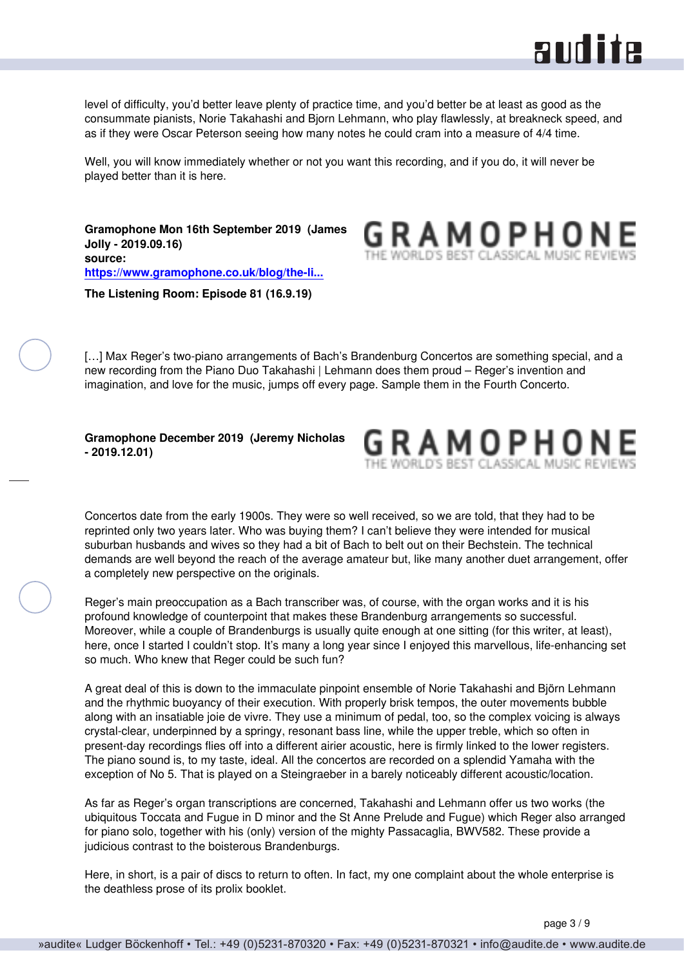

<span id="page-2-0"></span>level of difficulty, you'd better leave plenty of practice time, and you'd better be at least as good as the consummate pianists, Norie Takahashi and Bjorn Lehmann, who play flawlessly, at breakneck speed, and as if they were Oscar Peterson seeing how many notes he could cram into a measure of 4/4 time.

Well, you will know immediately whether or not you want this recording, and if you do, it will never be played better than it is here.

**Gramophone Mon 16th September 2019 (James Jolly - 2019.09.16) source: [https://www.gramophone.co.uk/blog/the-li...](https://www.gramophone.co.uk/blog/the-listening-room/the-listening-room-episode-81-16919)**



**The Listening Room: Episode 81 (16.9.19)**

[...] Max Reger's two-piano arrangements of Bach's Brandenburg Concertos are something special, and a new recording from the Piano Duo Takahashi | Lehmann does them proud – Reger's invention and imagination, and love for the music, jumps off every page. Sample them in the Fourth Concerto.

#### **Gramophone December 2019 (Jeremy Nicholas - 2019.12.01)**



Concertos date from the early 1900s. They were so well received, so we are told, that they had to be reprinted only two years later. Who was buying them? I can't believe they were intended for musical suburban husbands and wives so they had a bit of Bach to belt out on their Bechstein. The technical demands are well beyond the reach of the average amateur but, like many another duet arrangement, offer a completely new perspective on the originals.

Reger's main preoccupation as a Bach transcriber was, of course, with the organ works and it is his profound knowledge of counterpoint that makes these Brandenburg arrangements so successful. Moreover, while a couple of Brandenburgs is usually quite enough at one sitting (for this writer, at least), here, once I started I couldn't stop. It's many a long year since I enjoyed this marvellous, life-enhancing set so much. Who knew that Reger could be such fun?

A great deal of this is down to the immaculate pinpoint ensemble of Norie Takahashi and Björn Lehmann and the rhythmic buoyancy of their execution. With properly brisk tempos, the outer movements bubble along with an insatiable joie de vivre. They use a minimum of pedal, too, so the complex voicing is always crystal-clear, underpinned by a springy, resonant bass line, while the upper treble, which so often in present-day recordings flies off into a different airier acoustic, here is firmly linked to the lower registers. The piano sound is, to my taste, ideal. All the concertos are recorded on a splendid Yamaha with the exception of No 5. That is played on a Steingraeber in a barely noticeably different acoustic/location.

As far as Reger's organ transcriptions are concerned, Takahashi and Lehmann offer us two works (the ubiquitous Toccata and Fugue in D minor and the St Anne Prelude and Fugue) which Reger also arranged for piano solo, together with his (only) version of the mighty Passacaglia, BWV582. These provide a judicious contrast to the boisterous Brandenburgs.

Here, in short, is a pair of discs to return to often. In fact, my one complaint about the whole enterprise is the deathless prose of its prolix booklet.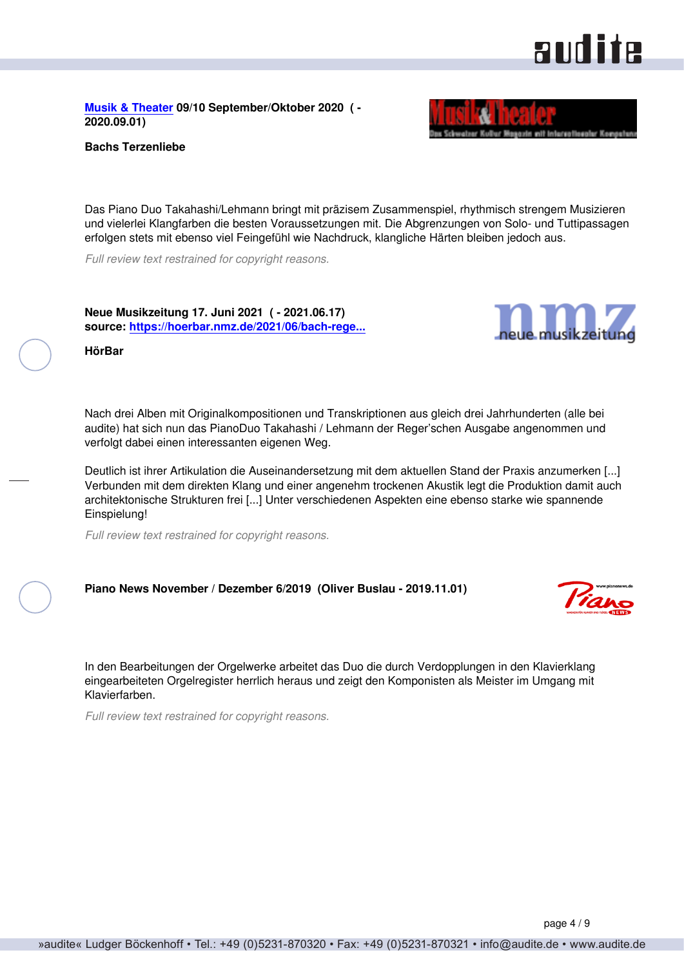<span id="page-3-0"></span>**[Musik & Theater](http://www.musikundtheater.ch) 09/10 September/Oktober 2020 ( - 2020.09.01)**



Das Piano Duo Takahashi/Lehmann bringt mit präzisem Zusammenspiel, rhythmisch strengem Musizieren und vielerlei Klangfarben die besten Voraussetzungen mit. Die Abgrenzungen von Solo- und Tuttipassagen erfolgen stets mit ebenso viel Feingefühl wie Nachdruck, klangliche Härten bleiben jedoch aus.

*Full review text restrained for copyright reasons.*

**Neue Musikzeitung 17. Juni 2021 ( - 2021.06.17) source: [https://hoerbar.nmz.de/2021/06/bach-rege...](https://hoerbar.nmz.de/2021/06/bach-reger-pianoduo-takahashi-lehmann/)**

**HörBar**

Nach drei Alben mit Originalkompositionen und Transkriptionen aus gleich drei Jahrhunderten (alle bei audite) hat sich nun das PianoDuo Takahashi / Lehmann der Reger'schen Ausgabe angenommen und verfolgt dabei einen interessanten eigenen Weg.

Deutlich ist ihrer Artikulation die Auseinandersetzung mit dem aktuellen Stand der Praxis anzumerken [...] Verbunden mit dem direkten Klang und einer angenehm trockenen Akustik legt die Produktion damit auch architektonische Strukturen frei [...] Unter verschiedenen Aspekten eine ebenso starke wie spannende Einspielung!

*Full review text restrained for copyright reasons.*

**Piano News November / Dezember 6/2019 (Oliver Buslau - 2019.11.01)**

In den Bearbeitungen der Orgelwerke arbeitet das Duo die durch Verdopplungen in den Klavierklang eingearbeiteten Orgelregister herrlich heraus und zeigt den Komponisten als Meister im Umgang mit Klavierfarben.

*Full review text restrained for copyright reasons.*

## **audite**



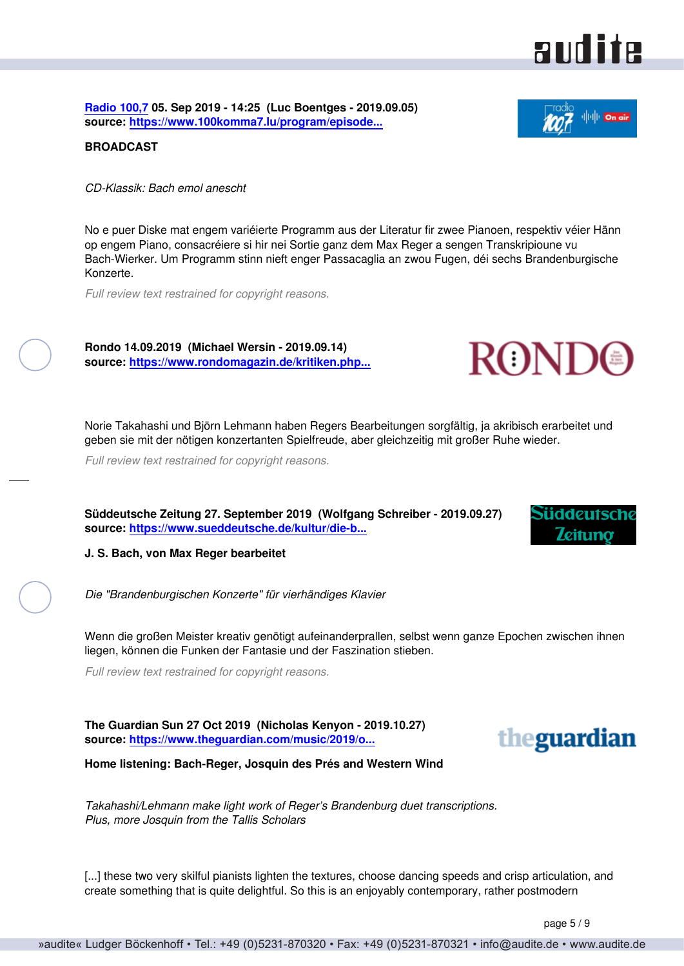<span id="page-4-0"></span>**[Radio 100,7](https://www.100komma7.lu) 05. Sep 2019 - 14:25 (Luc Boentges - 2019.09.05) source: [https://www.100komma7.lu/program/episode...](https://www.100komma7.lu/program/episode/266141/201909051425-201909051435?fbclid=IwAR3gpHkgj1OcHYg7zuaIfP6g_2yPg8D8PXvDHCw_1W9UN)**

**BROADCAST**

*CD-Klassik: Bach emol anescht*

No e puer Diske mat engem variéierte Programm aus der Literatur fir zwee Pianoen, respektiv véier Hänn op engem Piano, consacréiere si hir nei Sortie ganz dem Max Reger a sengen Transkripioune vu Bach-Wierker. Um Programm stinn nieft enger Passacaglia an zwou Fugen, déi sechs Brandenburgische Konzerte.

*Full review text restrained for copyright reasons.*

**Rondo 14.09.2019 (Michael Wersin - 2019.09.14) source: [https://www.rondomagazin.de/kritiken.php...](https://www.rondomagazin.de/kritiken.php?kritiken_id=10787)**

Norie Takahashi und Björn Lehmann haben Regers Bearbeitungen sorgfältig, ja akribisch erarbeitet und geben sie mit der nötigen konzertanten Spielfreude, aber gleichzeitig mit großer Ruhe wieder.

*Full review text restrained for copyright reasons.*

**Süddeutsche Zeitung 27. September 2019 (Wolfgang Schreiber - 2019.09.27) source: [https://www.sueddeutsche.de/kultur/die-b...](https://www.sueddeutsche.de/kultur/die-brandenburgischen-konzerte-fuer-vierhaendiges-klavier-j-s-bach-von-max-reger-bearbeitet-1)**

**J. S. Bach, von Max Reger bearbeitet**

*Die "Brandenburgischen Konzerte" für vierhändiges Klavier*

Wenn die großen Meister kreativ genötigt aufeinanderprallen, selbst wenn ganze Epochen zwischen ihnen liegen, können die Funken der Fantasie und der Faszination stieben.

*Full review text restrained for copyright reasons.*

**The Guardian Sun 27 Oct 2019 (Nicholas Kenyon - 2019.10.27) source: [https://www.theguardian.com/music/2019/o...](https://www.theguardian.com/music/2019/oct/27/bach-reger-transcriptions-piano-duet-takahashi-lehmann-review-tallis-scholars-josq)**

**Home listening: Bach-Reger, Josquin des Prés and Western Wind**

*Takahashi/Lehmann make light work of Reger's Brandenburg duet transcriptions. Plus, more Josquin from the Tallis Scholars*

[...] these two very skilful pianists lighten the textures, choose dancing speeds and crisp articulation, and create something that is quite delightful. So this is an enjoyably contemporary, rather postmodern

page 5 / 9



**ROND** 





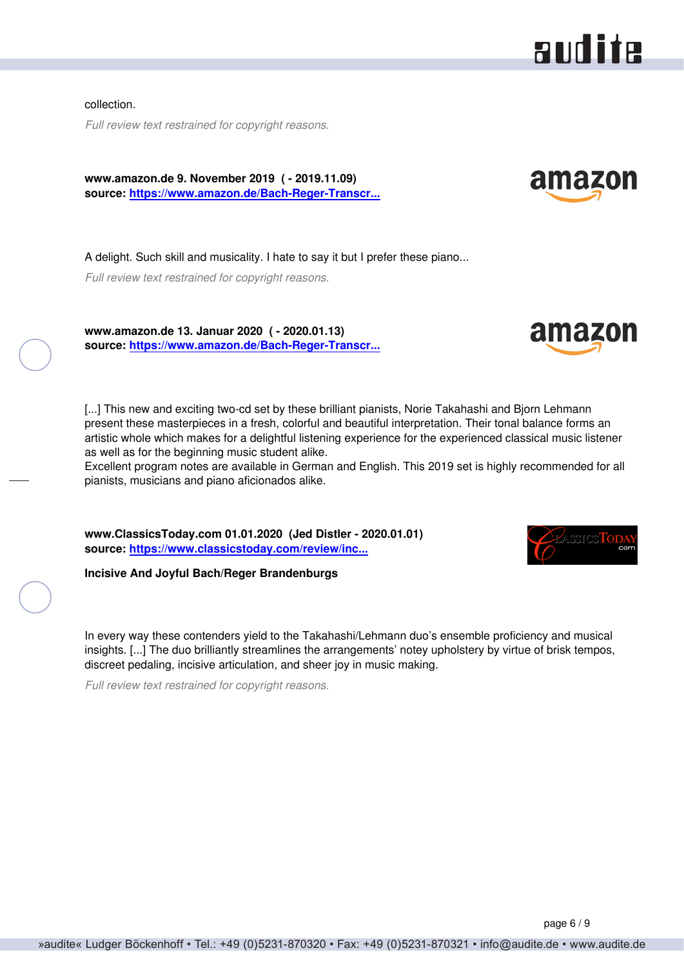<span id="page-5-0"></span>collection.

*Full review text restrained for copyright reasons.*

**www.amazon.de 9. November 2019 ( - 2019.11.09) source: [https://www.amazon.de/Bach-Reger-Transcr...](https://www.amazon.de/Bach-Reger-Transcriptions-Brandenburg-Concertos-Organ/dp/B07VFQKJD1/ref=sr_1_1?__mk_de_DE=%C3%85M%C3%85%C5)**

A delight. Such skill and musicality. I hate to say it but I prefer these piano...

*Full review text restrained for copyright reasons.*

**www.amazon.de 13. Januar 2020 ( - 2020.01.13)**

**source: [https://www.amazon.de/Bach-Reger-Transcr...](https://www.amazon.de/Bach-Reger-Transcriptions-Brandenburg-Concertos-Organ/dp/B07VFQKJD1/ref=sr_1_1?__mk_de_DE=%C3%85M%C3%85%C5)**

[...] This new and exciting two-cd set by these brilliant pianists, Norie Takahashi and Biorn Lehmann present these masterpieces in a fresh, colorful and beautiful interpretation. Their tonal balance forms an artistic whole which makes for a delightful listening experience for the experienced classical music listener as well as for the beginning music student alike.

Excellent program notes are available in German and English. This 2019 set is highly recommended for all pianists, musicians and piano aficionados alike.

**www.ClassicsToday.com 01.01.2020 (Jed Distler - 2020.01.01) source: [https://www.classicstoday.com/review/inc...](https://www.classicstoday.com/review/incisive-and-joyful-bach-reger-brandenburgs/?)**

**Incisive And Joyful Bach/Reger Brandenburgs**

In every way these contenders yield to the Takahashi/Lehmann duo's ensemble proficiency and musical insights. [...] The duo brilliantly streamlines the arrangements' notey upholstery by virtue of brisk tempos, discreet pedaling, incisive articulation, and sheer joy in music making.

*Full review text restrained for copyright reasons.*







amazon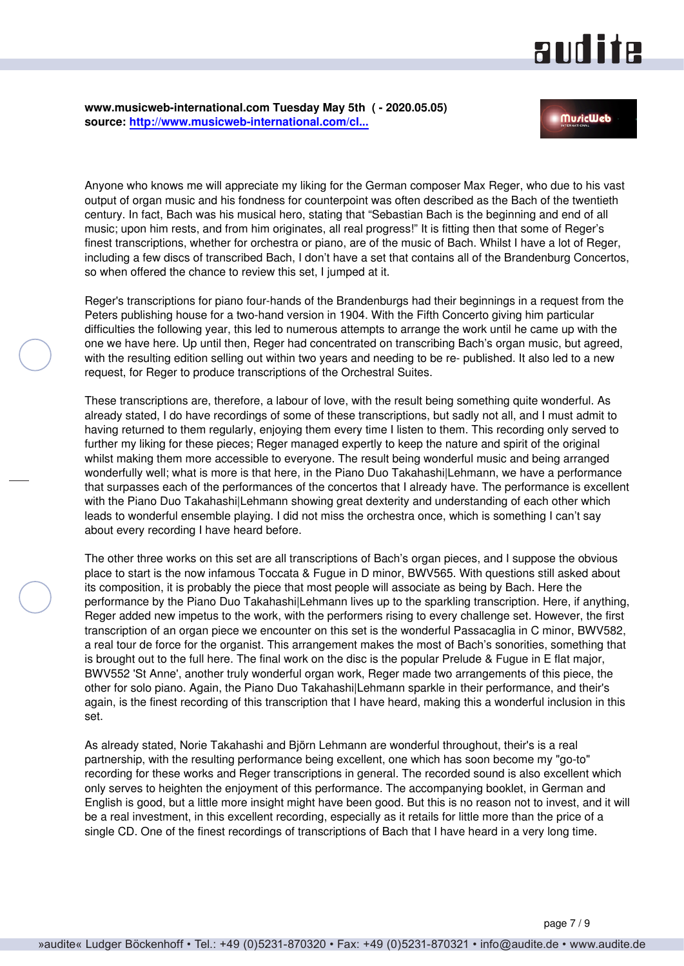### and ite

<span id="page-6-0"></span>**www.musicweb-international.com Tuesday May 5th ( - 2020.05.05) source: [http://www.musicweb-international.com/cl...](http://www.musicweb-international.com/classrev/2020/May/Bach_Reger_23445.htm)**

Anyone who knows me will appreciate my liking for the German composer Max Reger, who due to his vast output of organ music and his fondness for counterpoint was often described as the Bach of the twentieth century. In fact, Bach was his musical hero, stating that "Sebastian Bach is the beginning and end of all music; upon him rests, and from him originates, all real progress!" It is fitting then that some of Reger's finest transcriptions, whether for orchestra or piano, are of the music of Bach. Whilst I have a lot of Reger, including a few discs of transcribed Bach, I don't have a set that contains all of the Brandenburg Concertos, so when offered the chance to review this set, I jumped at it.

Reger's transcriptions for piano four-hands of the Brandenburgs had their beginnings in a request from the Peters publishing house for a two-hand version in 1904. With the Fifth Concerto giving him particular difficulties the following year, this led to numerous attempts to arrange the work until he came up with the one we have here. Up until then, Reger had concentrated on transcribing Bach's organ music, but agreed, with the resulting edition selling out within two years and needing to be re- published. It also led to a new request, for Reger to produce transcriptions of the Orchestral Suites.

These transcriptions are, therefore, a labour of love, with the result being something quite wonderful. As already stated, I do have recordings of some of these transcriptions, but sadly not all, and I must admit to having returned to them regularly, enjoying them every time I listen to them. This recording only served to further my liking for these pieces; Reger managed expertly to keep the nature and spirit of the original whilst making them more accessible to everyone. The result being wonderful music and being arranged wonderfully well; what is more is that here, in the Piano Duo Takahashi|Lehmann, we have a performance that surpasses each of the performances of the concertos that I already have. The performance is excellent with the Piano Duo Takahashi|Lehmann showing great dexterity and understanding of each other which leads to wonderful ensemble playing. I did not miss the orchestra once, which is something I can't say about every recording I have heard before.

The other three works on this set are all transcriptions of Bach's organ pieces, and I suppose the obvious place to start is the now infamous Toccata & Fugue in D minor, BWV565. With questions still asked about its composition, it is probably the piece that most people will associate as being by Bach. Here the performance by the Piano Duo Takahashi|Lehmann lives up to the sparkling transcription. Here, if anything, Reger added new impetus to the work, with the performers rising to every challenge set. However, the first transcription of an organ piece we encounter on this set is the wonderful Passacaglia in C minor, BWV582, a real tour de force for the organist. This arrangement makes the most of Bach's sonorities, something that is brought out to the full here. The final work on the disc is the popular Prelude & Fugue in E flat major, BWV552 'St Anne', another truly wonderful organ work, Reger made two arrangements of this piece, the other for solo piano. Again, the Piano Duo Takahashi|Lehmann sparkle in their performance, and their's again, is the finest recording of this transcription that I have heard, making this a wonderful inclusion in this set.

As already stated, Norie Takahashi and Björn Lehmann are wonderful throughout, their's is a real partnership, with the resulting performance being excellent, one which has soon become my "go-to" recording for these works and Reger transcriptions in general. The recorded sound is also excellent which only serves to heighten the enjoyment of this performance. The accompanying booklet, in German and English is good, but a little more insight might have been good. But this is no reason not to invest, and it will be a real investment, in this excellent recording, especially as it retails for little more than the price of a single CD. One of the finest recordings of transcriptions of Bach that I have heard in a very long time.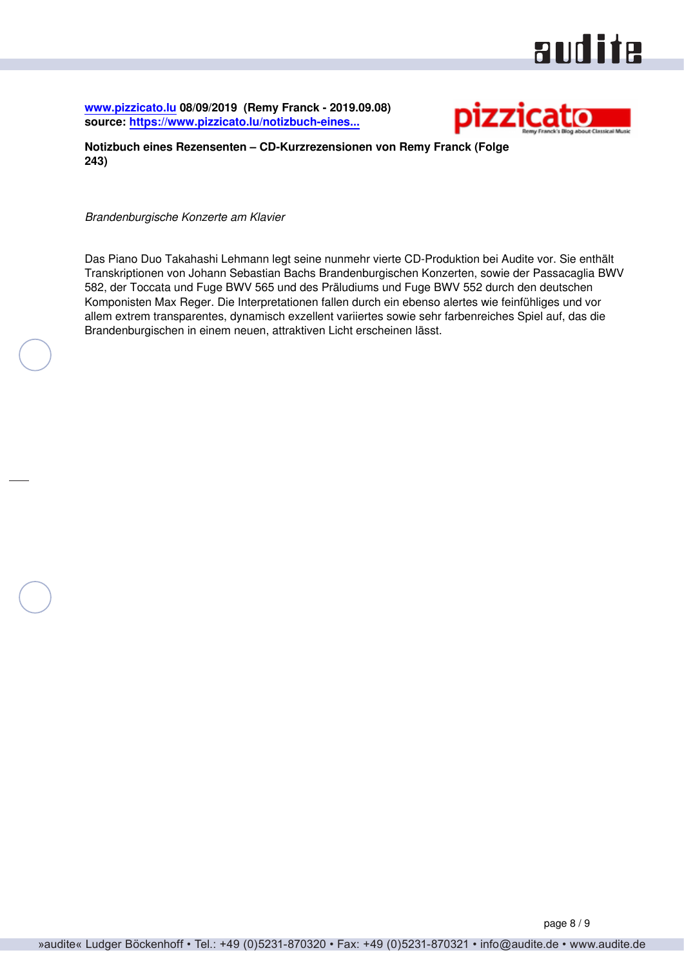# audite

<span id="page-7-0"></span>**[www.pizzicato.lu](http://www.pizzicato.lu) 08/09/2019 (Remy Franck - 2019.09.08) source: [https://www.pizzicato.lu/notizbuch-eines...](https://www.pizzicato.lu/notizbuch-eines-rezensenten-cd-kurzrezensionen-von-remy-franck-folge-243/)**



**Notizbuch eines Rezensenten – CD-Kurzrezensionen von Remy Franck (Folge 243)**

*Brandenburgische Konzerte am Klavier*

Das Piano Duo Takahashi Lehmann legt seine nunmehr vierte CD-Produktion bei Audite vor. Sie enthält Transkriptionen von Johann Sebastian Bachs Brandenburgischen Konzerten, sowie der Passacaglia BWV 582, der Toccata und Fuge BWV 565 und des Präludiums und Fuge BWV 552 durch den deutschen Komponisten Max Reger. Die Interpretationen fallen durch ein ebenso alertes wie feinfühliges und vor allem extrem transparentes, dynamisch exzellent variiertes sowie sehr farbenreiches Spiel auf, das die Brandenburgischen in einem neuen, attraktiven Licht erscheinen lässt.